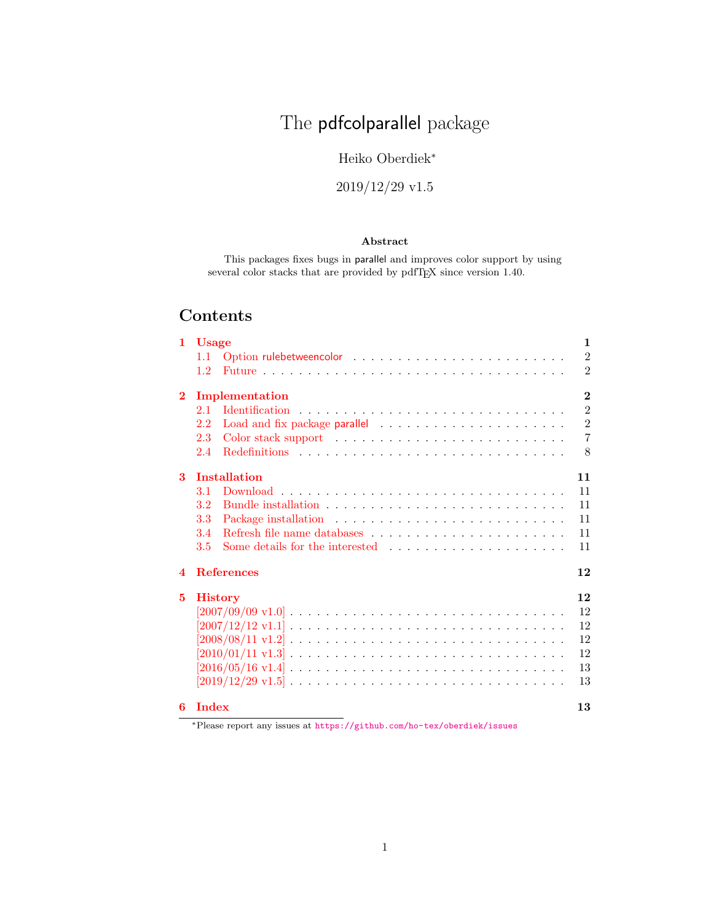# The pdfcolparallel package

### Heiko Oberdiek<sup>∗</sup>

# 2019/12/29 v1.5

### Abstract

This packages fixes bugs in parallel and improves color support by using several color stacks that are provided by pdfTEX since version 1.40.

# Contents

| 1.                      | <b>Usage</b>                                                                                                          | $\mathbf{1}$   |
|-------------------------|-----------------------------------------------------------------------------------------------------------------------|----------------|
|                         | 1.1                                                                                                                   | $\overline{2}$ |
|                         | $1.2^{\circ}$                                                                                                         | $\overline{2}$ |
| $\bf{2}$                | Implementation                                                                                                        | $\overline{2}$ |
|                         | 2.1                                                                                                                   | $\overline{2}$ |
|                         | 2.2                                                                                                                   | $\overline{2}$ |
|                         | Color stack support (also contained a series of the state of the state state of the state state state $\cdots$<br>2.3 | $\overline{7}$ |
|                         | 2.4                                                                                                                   | $\mathbf{8}$   |
| 3                       | <b>Installation</b>                                                                                                   | 11             |
|                         | 3.1                                                                                                                   | 11             |
|                         | Bundle installation $\ldots \ldots \ldots \ldots \ldots \ldots \ldots \ldots \ldots \ldots$<br>$3.2\,$                | 11             |
|                         | 3.3                                                                                                                   | 11             |
|                         | 3.4                                                                                                                   | 11             |
|                         | 3.5                                                                                                                   | 11             |
| $\overline{\mathbf{4}}$ | <b>References</b>                                                                                                     | 12             |
| 5                       | <b>History</b>                                                                                                        | 12             |
|                         |                                                                                                                       | 12             |
|                         | $[2007/12/12 \text{ v}1.1] \ldots \ldots \ldots \ldots \ldots \ldots \ldots \ldots \ldots \ldots \ldots \ldots$       | 12             |
|                         |                                                                                                                       | 12             |
|                         |                                                                                                                       | 12             |
|                         | $[2016/05/16 \text{ v}1.4] \ldots \ldots \ldots \ldots \ldots \ldots \ldots \ldots \ldots \ldots \ldots$              | 13             |
|                         |                                                                                                                       | 13             |
| 6                       | <b>Index</b>                                                                                                          | 13             |

<sup>∗</sup>Please report any issues at <https://github.com/ho-tex/oberdiek/issues>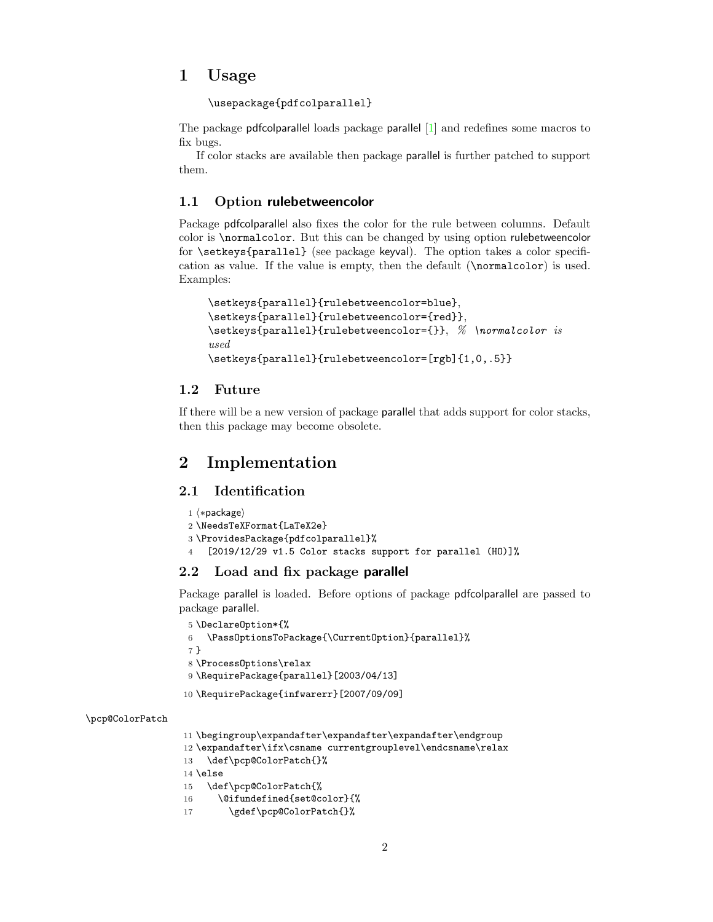### <span id="page-1-0"></span>1 Usage

\usepackage{pdfcolparallel}

The package pdfcolparallel loads package parallel [\[1\]](#page-11-6) and redefines some macros to fix bugs.

If color stacks are available then package parallel is further patched to support them.

### <span id="page-1-1"></span>1.1 Option rulebetweencolor

Package pdfcolparallel also fixes the color for the rule between columns. Default color is \normalcolor. But this can be changed by using option rulebetweencolor for \setkeys{parallel} (see package keyval). The option takes a color specification as value. If the value is empty, then the default (\normalcolor) is used. Examples:

```
\setkeys{parallel}{rulebetweencolor=blue},
\setkeys{parallel}{rulebetweencolor={red}},
\setkeys{parallel}{rulebetweencolor={}}, % \normalcolor is
used
\setkeys{parallel}{rulebetweencolor=[rgb]{1,0,.5}}
```
### <span id="page-1-2"></span>1.2 Future

If there will be a new version of package parallel that adds support for color stacks, then this package may become obsolete.

# <span id="page-1-3"></span>2 Implementation

### <span id="page-1-4"></span>2.1 Identification

```
1 ⟨∗package⟩
2 \NeedsTeXFormat{LaTeX2e}
3 \ProvidesPackage{pdfcolparallel}%
4 [2019/12/29 v1.5 Color stacks support for parallel (HO)]%
```
### <span id="page-1-5"></span>2.2 Load and fix package parallel

Package parallel is loaded. Before options of package pdfcolparallel are passed to package parallel.

```
5 \DeclareOption*{%
6 \PassOptionsToPackage{\CurrentOption}{parallel}%
7 }
8 \ProcessOptions\relax
9 \RequirePackage{parallel}[2003/04/13]
10 \RequirePackage{infwarerr}[2007/09/09]
```
#### <span id="page-1-12"></span>\pcp@ColorPatch

```
11 \begingroup\expandafter\expandafter\expandafter\endgroup
```

```
12 \expandafter\ifx\csname currentgrouplevel\endcsname\relax
```
- 13 \def\pcp@ColorPatch{}%
- 14 \else
- 15 \def\pcp@ColorPatch{%
- <span id="page-1-6"></span>16 \@ifundefined{set@color}{%
- <span id="page-1-10"></span>17 \gdef\pcp@ColorPatch{}%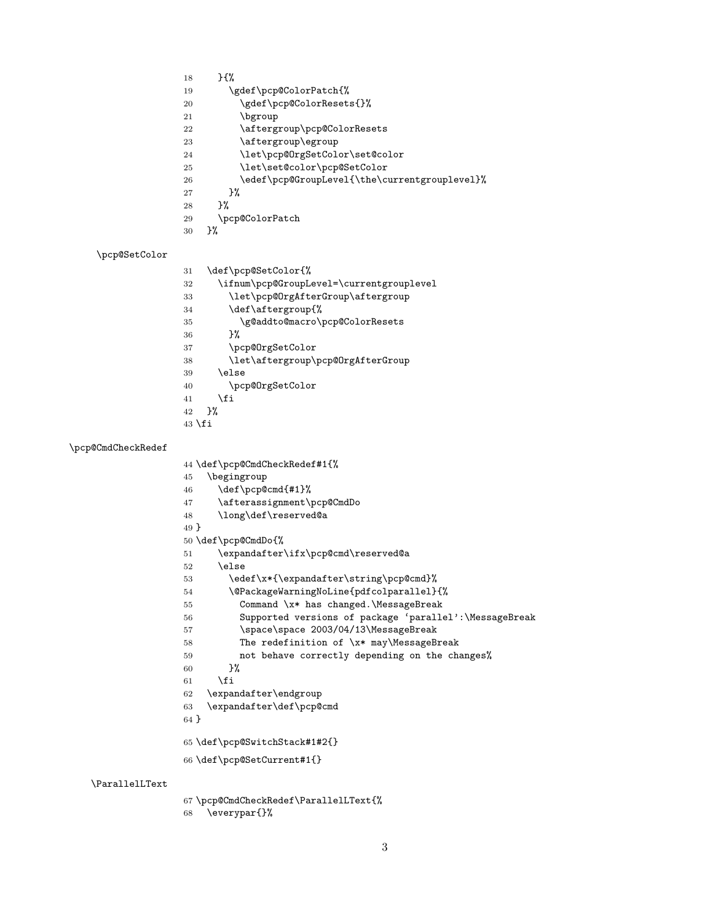- }{%
- <span id="page-2-11"></span>19 \gdef\pcp@ColorPatch{%
- <span id="page-2-12"></span>20 \gdef\pcp@ColorResets{}%
- 21 \bgroup
- <span id="page-2-2"></span>22 \aftergroup\pcp@ColorResets
- <span id="page-2-3"></span>23 \aftergroup\egroup
- <span id="page-2-25"></span>\let\pcp@OrgSetColor\set@color
- <span id="page-2-28"></span>\let\set@color\pcp@SetColor
- <span id="page-2-7"></span>26 \edef\pcp@GroupLevel{\the\currentgrouplevel}%
- }%
- }%
- \pcp@ColorPatch
- }%

### <span id="page-2-29"></span>\pcp@SetColor

- \def\pcp@SetColor{%
- <span id="page-2-8"></span>\ifnum\pcp@GroupLevel=\currentgrouplevel
- <span id="page-2-4"></span>\let\pcp@OrgAfterGroup\aftergroup
- <span id="page-2-5"></span>\def\aftergroup{%
- <span id="page-2-10"></span>\g@addto@macro\pcp@ColorResets
- }%
- <span id="page-2-26"></span>\pcp@OrgSetColor
- <span id="page-2-6"></span>\let\aftergroup\pcp@OrgAfterGroup
- 39 \else
- <span id="page-2-27"></span>\pcp@OrgSetColor
- \fi
- }%
- \fi

#### <span id="page-2-22"></span>\pcp@CmdCheckRedef

- \def\pcp@CmdCheckRedef#1{%
- \begingroup
- <span id="page-2-19"></span>\def\pcp@cmd{#1}%
- <span id="page-2-1"></span>\afterassignment\pcp@CmdDo
- <span id="page-2-32"></span>\long\def\reserved@a
- }
	-
- <span id="page-2-24"></span>\def\pcp@CmdDo{%
- <span id="page-2-13"></span>\expandafter\ifx\pcp@cmd\reserved@a
- \else
- <span id="page-2-20"></span>53 \edef\x\*{\expandafter\string\pcp@cmd}%
- 
- <span id="page-2-0"></span>\@PackageWarningNoLine{pdfcolparallel}{%
- <span id="page-2-14"></span> Command \x\* has changed.\MessageBreak
	-
	-
- <span id="page-2-15"></span>Supported versions of package 'parallel':\MessageBreak
- <span id="page-2-16"></span>57 \space\space 2003/04/13\MessageBreak
- <span id="page-2-17"></span>The redefinition of \x\* may\MessageBreak
- 
- 
- not behave correctly depending on the changes%
- 
- 
- }%
- 61  $\setminus$ fi
- 
- \expandafter\endgroup
- <span id="page-2-21"></span>\expandafter\def\pcp@cmd
- }
- 
- <span id="page-2-31"></span>\def\pcp@SwitchStack#1#2{}
- <span id="page-2-30"></span>\def\pcp@SetCurrent#1{}

#### <span id="page-2-18"></span>\ParallelLText

<span id="page-2-23"></span><span id="page-2-9"></span> \pcp@CmdCheckRedef\ParallelLText{% \everypar{}%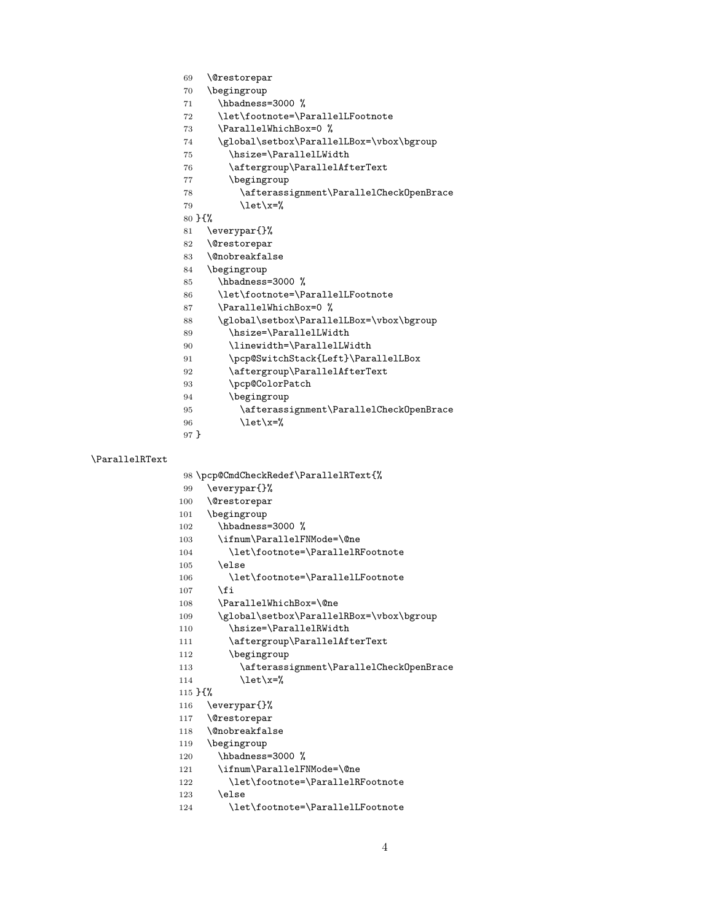- <span id="page-3-5"></span>\@restorepar
- \begingroup
- <span id="page-3-24"></span>71 \hbadness=3000 %
- <span id="page-3-18"></span>\let\footnote=\ParallelLFootnote
- <span id="page-3-37"></span>73 \ParallelWhichBox=0 %
- <span id="page-3-32"></span>\global\setbox\ParallelLBox=\vbox\bgroup
- <span id="page-3-28"></span>\hsize=\ParallelLWidth
- <span id="page-3-12"></span>\aftergroup\ParallelAfterText
- \begingroup
- <span id="page-3-9"></span>\afterassignment\ParallelCheckOpenBrace
- <span id="page-3-41"></span>79  $\text{let}\xspace x=\%$
- }{%
- <span id="page-3-15"></span>\everypar{}%
- <span id="page-3-6"></span>\@restorepar
- <span id="page-3-3"></span>\@nobreakfalse
- \begingroup
- <span id="page-3-25"></span>\hbadness=3000 %
- <span id="page-3-19"></span>\let\footnote=\ParallelLFootnote
- <span id="page-3-38"></span>87 \ParallelWhichBox=0 %
- <span id="page-3-33"></span>\global\setbox\ParallelLBox=\vbox\bgroup
- <span id="page-3-29"></span>\hsize=\ParallelLWidth
- <span id="page-3-31"></span>\linewidth=\ParallelLWidth
- <span id="page-3-34"></span>91 \pcp@SwitchStack{Left}\ParallelLBox
- <span id="page-3-13"></span>\aftergroup\ParallelAfterText
- <span id="page-3-40"></span>\pcp@ColorPatch
- \begingroup
- <span id="page-3-10"></span>\afterassignment\ParallelCheckOpenBrace
- <span id="page-3-42"></span>\let\x=%
- }

#### <span id="page-3-36"></span>\ParallelRText

<span id="page-3-39"></span>\pcp@CmdCheckRedef\ParallelRText{%

- <span id="page-3-16"></span>\everypar{}%
- <span id="page-3-7"></span>\@restorepar
- \begingroup
- <span id="page-3-26"></span>102 \hbadness=3000 %
- <span id="page-3-0"></span>\ifnum\ParallelFNMode=\@ne
- <span id="page-3-20"></span>\let\footnote=\ParallelRFootnote
- \else
- <span id="page-3-21"></span>\let\footnote=\ParallelLFootnote
- \fi
- <span id="page-3-1"></span>\ParallelWhichBox=\@ne
- <span id="page-3-35"></span>109 \global\setbox\ParallelRBox=\vbox\bgroup
- <span id="page-3-30"></span>\hsize=\ParallelRWidth
- <span id="page-3-14"></span>\aftergroup\ParallelAfterText
- \begingroup
- <span id="page-3-11"></span>\afterassignment\ParallelCheckOpenBrace
- <span id="page-3-43"></span>114  $\text{let}\xspace$

#### }{%

- <span id="page-3-17"></span>\everypar{}%
- <span id="page-3-8"></span>\@restorepar
- <span id="page-3-4"></span>\@nobreakfalse
- \begingroup
- <span id="page-3-27"></span>120 \hbadness=3000 %
- <span id="page-3-2"></span>\ifnum\ParallelFNMode=\@ne
- <span id="page-3-22"></span>122 \let\footnote=\ParallelRFootnote
- \else
- <span id="page-3-23"></span>124 \let\footnote=\ParallelLFootnote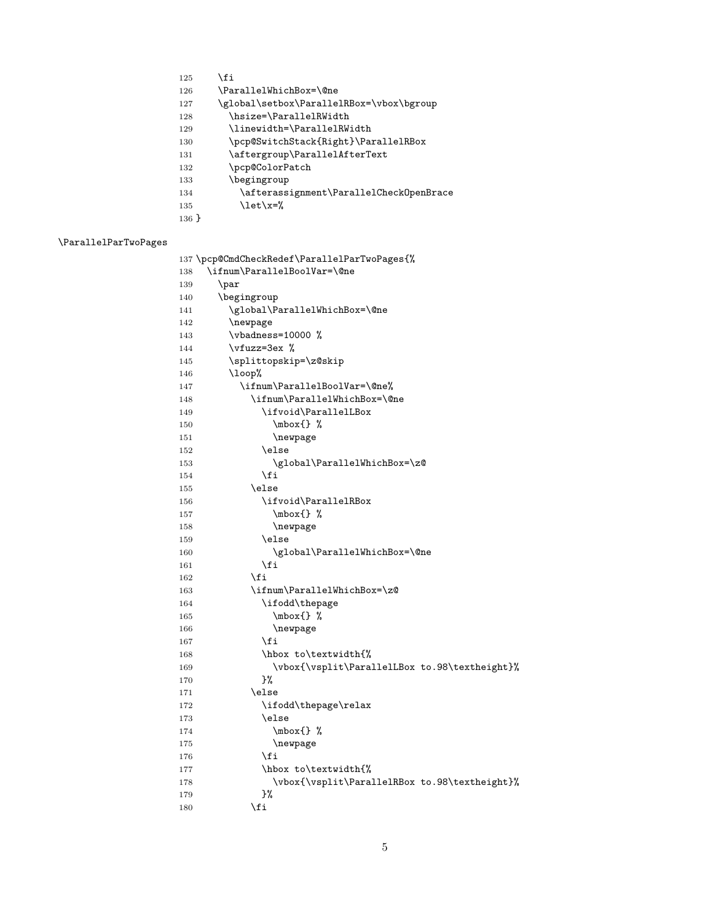- 125  $\overrightarrow{fi}$
- <span id="page-4-0"></span>\ParallelWhichBox=\@ne
- <span id="page-4-30"></span>\global\setbox\ParallelRBox=\vbox\bgroup
- <span id="page-4-10"></span>\hsize=\ParallelRWidth
- <span id="page-4-16"></span>\linewidth=\ParallelRWidth
- <span id="page-4-31"></span>\pcp@SwitchStack{Right}\ParallelRBox
- <span id="page-4-7"></span>131 \aftergroup\ParallelAfterText
- <span id="page-4-35"></span>132 \pcp@ColorPatch
- \begingroup
- <span id="page-4-6"></span>\afterassignment\ParallelCheckOpenBrace
- <span id="page-4-39"></span>135  $\text{let}\xspace x=\%$
- }

#### <span id="page-4-29"></span>\ParallelParTwoPages

<span id="page-4-38"></span><span id="page-4-37"></span><span id="page-4-36"></span><span id="page-4-34"></span><span id="page-4-33"></span><span id="page-4-32"></span><span id="page-4-28"></span><span id="page-4-27"></span><span id="page-4-26"></span><span id="page-4-25"></span><span id="page-4-24"></span><span id="page-4-23"></span><span id="page-4-22"></span><span id="page-4-21"></span><span id="page-4-20"></span><span id="page-4-19"></span><span id="page-4-18"></span><span id="page-4-17"></span><span id="page-4-15"></span><span id="page-4-14"></span><span id="page-4-13"></span><span id="page-4-12"></span><span id="page-4-11"></span><span id="page-4-9"></span><span id="page-4-8"></span><span id="page-4-5"></span><span id="page-4-4"></span><span id="page-4-3"></span><span id="page-4-2"></span><span id="page-4-1"></span>

|     | 137 \pcp@CmdCheckRedef\ParallelParTwoPages{%  |
|-----|-----------------------------------------------|
| 138 | \ifnum\ParallelBoolVar=\@ne                   |
| 139 | \par                                          |
| 140 | \begingroup                                   |
| 141 | \global\ParallelWhichBox=\@ne                 |
| 142 | \newpage                                      |
| 143 | \vbadness=10000 %                             |
| 144 | \vfuzz=3ex %                                  |
| 145 | \splittopskip=\z@skip                         |
| 146 | $\log$                                        |
| 147 | \ifnum\ParallelBoolVar=\@ne%                  |
| 148 | \ifnum\ParallelWhichBox=\@ne                  |
| 149 | \ifvoid\ParallelLBox                          |
| 150 | $\mbox{\{} %$                                 |
| 151 | \newpage                                      |
| 152 | \else                                         |
| 153 | \global\ParallelWhichBox=\z@                  |
| 154 | \fi                                           |
| 155 | \else                                         |
| 156 | \ifvoid\ParallelRBox                          |
| 157 | $\mbox{\{} %$                                 |
| 158 | \newpage                                      |
| 159 | \else                                         |
| 160 | \global\ParallelWhichBox=\@ne                 |
| 161 | \fi                                           |
| 162 | \fi                                           |
| 163 | \ifnum\ParallelWhichBox=\z@                   |
| 164 | \ifodd\thepage                                |
| 165 | $\mbox{\,}$ $\mbox{\,}$                       |
| 166 | \newpage                                      |
| 167 | \fi                                           |
| 168 | \hbox to\textwidth{%                          |
| 169 | \vbox{\vsplit\ParallelLBox to.98\textheight}% |
| 170 | }‰                                            |
| 171 | \else                                         |
| 172 | \ifodd\thepage\relax                          |
| 173 | \else                                         |
| 174 | $\mbox{\,}$ %                                 |
| 175 | \newpage                                      |
| 176 | \fi                                           |
| 177 | \hbox to\textwidth{%                          |
| 178 | \vbox{\vsplit\ParallelRBox to.98\textheight}% |
| 179 | }‰                                            |
| 180 | \fi                                           |
|     |                                               |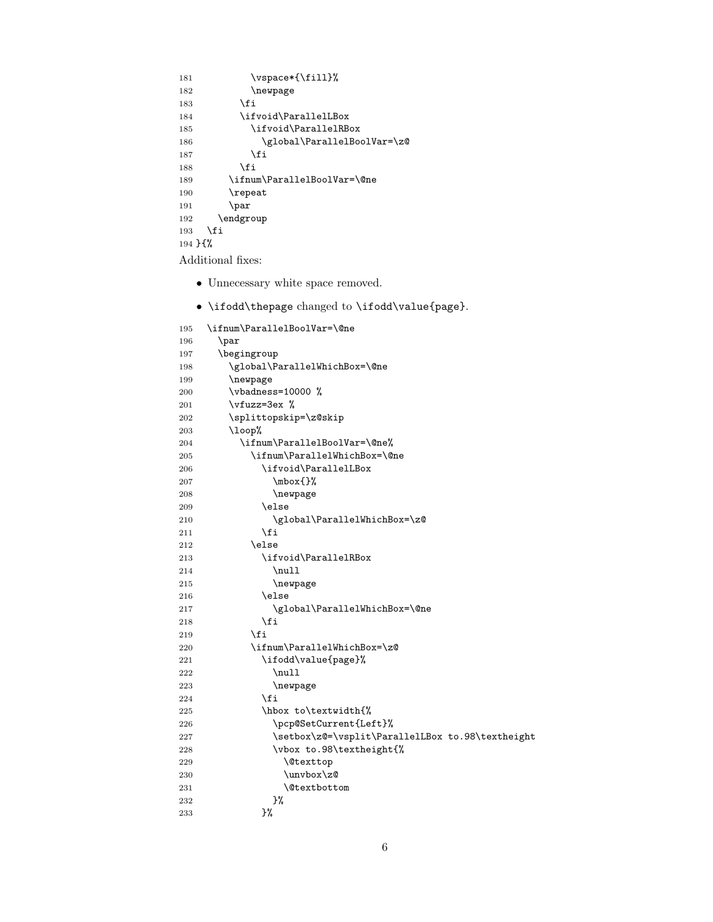```
181 \vspace{1.1em} \verb|vspace*{\tilde{1}1}|%182 \newpage
183 \qquad \qquad \text{ifi}184 \ifvoid\ParallelLBox
185 \ifvoid\ParallelRBox
186 \global\ParallelBoolVar=\z@
187 \qquad \qquad \fi
188 \fi
189 \ifnum\ParallelBoolVar=\@ne
190 \repeat
191 \par
192 \endgroup
193 \fi
194 }{%
```
<span id="page-5-31"></span><span id="page-5-25"></span><span id="page-5-0"></span>Additional fixes:

- Unnecessary white space removed.
- \ifodd\thepage changed to \ifodd\value{page}.

```
195 \ifnum\ParallelBoolVar=\@ne
196 \par
197 \begingroup
198 \global\ParallelWhichBox=\@ne
199 \newpage
200  \vbadness=10000 %
201 \forallrfuzz=3ex %
202 \splittopskip=\z@skip
203 \loop%
204 \ifnum\ParallelBoolVar=\@ne%
205 \ifnum\ParallelWhichBox=\@ne
206 \ifvoid\ParallelLBox
207 \mbox{}%
208 \newpage
209 \else
210 \global\ParallelWhichBox=\z@
211 \qquad \qquad \fi
212 \text{le}213 \ifvoid\ParallelRBox
214 \null
215 \newpage
216 \else
217 \global\ParallelWhichBox=\@ne
218 \qquad \qquad \fi
219 \setminusfi
220 \ifnum\ParallelWhichBox=\z@
221 \ifodd\value{page}%
222 \null
223 \newpage
224 \overline{\phantom{a}} \fi
225 \hbox to\textwidth{%
226 \pcp@SetCurrent{Left}%
227 \setbox\z@=\vsplit\ParallelLBox to.98\textheight
228 \vbox to.98\textheight{%
229 \\fract\complexttop
230 \quad \text{unvbox}z@231 \@textbottom
232 }%
233 }%
```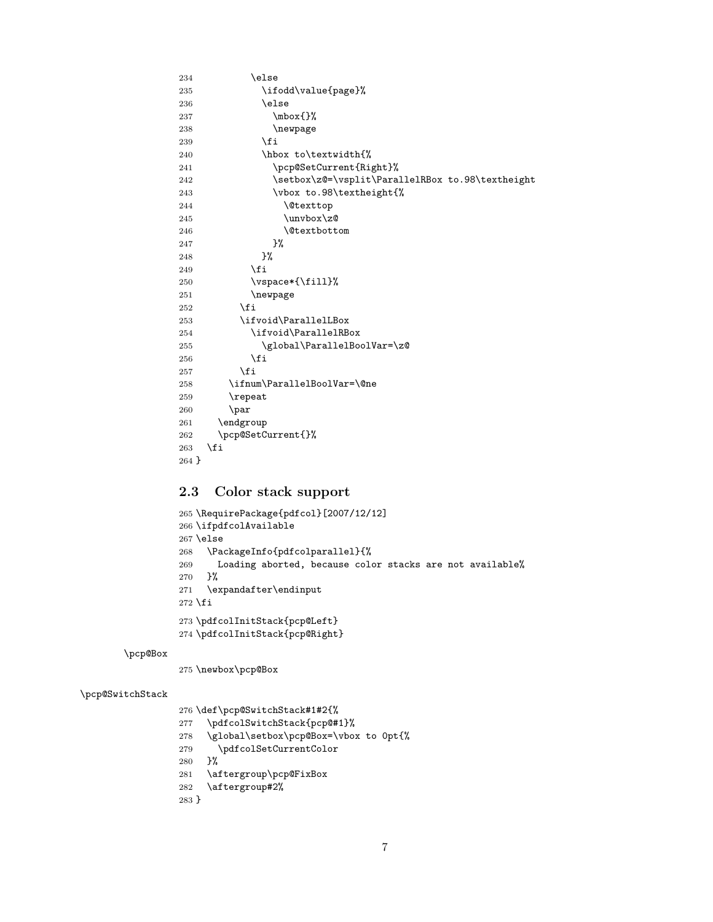```
234 \else
235 \ifodd\value{page}%
236 \else
237 \mbox{}%
238 \newpage
239 \overrightarrow{f_i}240 \hbox to\textwidth{%
241 \pcp@SetCurrent{Right}%
242 \setbox\z@=\vsplit\ParallelRBox to.98\textheight
243 \vbox to.98\textheight{%
244 \\lexttop
245 \unvbox\zeta246 \dtextbottom
\frac{247}{248} }%
248
249 \qquad \qquad \int fi
250 \vspace*{\fill}%
251 \newpage
252 \setminusfi
253 \ifvoid\ParallelLBox
254 \ifvoid\ParallelRBox
255 \global\ParallelBoolVar=\z@
256 \setminusfi
257 \setminusfi
258 \ifnum\ParallelBoolVar=\@ne
259 \repeat
260 \par
261 \endgroup
262 \pcp@SetCurrent{}%<br>263 \fi
263264 }
```
### <span id="page-6-30"></span><span id="page-6-24"></span><span id="page-6-19"></span><span id="page-6-18"></span><span id="page-6-16"></span><span id="page-6-12"></span><span id="page-6-11"></span><span id="page-6-1"></span><span id="page-6-0"></span>2.3 Color stack support

```
265 \RequirePackage{pdfcol}[2007/12/12]
266 \ifpdfcolAvailable
267 \else
268 \PackageInfo{pdfcolparallel}{%
269 Loading aborted, because color stacks are not available%
270 }%
271 \expandafter\endinput
272 \fi
273 \pdfcolInitStack{pcp@Left}
274 \pdfcolInitStack{pcp@Right}
```
#### <span id="page-6-21"></span>\pcp@Box

<span id="page-6-27"></span><span id="page-6-26"></span><span id="page-6-14"></span>275 \newbox\pcp@Box

#### <span id="page-6-25"></span>\pcp@SwitchStack

```
276 \def\pcp@SwitchStack#1#2{%
277 \pdfcolSwitchStack{pcp@#1}%
278 \global\setbox\pcp@Box=\vbox to 0pt{%
279 \pdfcolSetCurrentColor
280 }%
281 \aftergroup\pcp@FixBox
282 \aftergroup#2%
283 }
```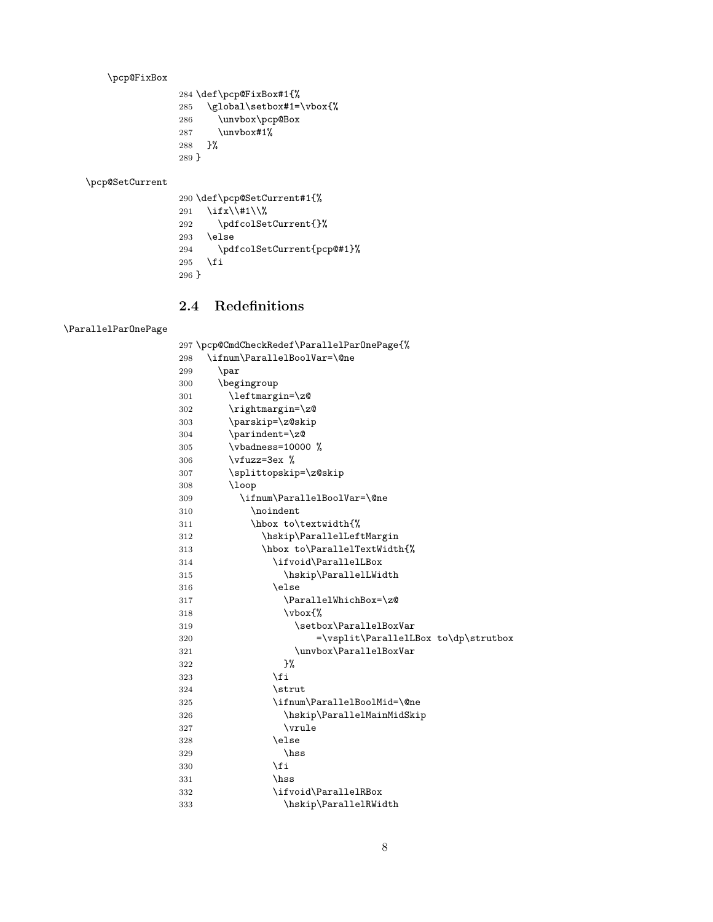<span id="page-7-28"></span>\pcp@FixBox

<span id="page-7-33"></span> \def\pcp@FixBox#1{% \global\setbox#1=\vbox{% \unvbox\pcp@Box \unvbox#1%

<span id="page-7-36"></span><span id="page-7-26"></span> }% }

<span id="page-7-29"></span>\pcp@SetCurrent

<span id="page-7-31"></span><span id="page-7-30"></span><span id="page-7-4"></span> \def\pcp@SetCurrent#1{% 291 \ifx\\#1\\% \pdfcolSetCurrent{}% \else \pdfcolSetCurrent{pcp@#1}% 295 \fi }

### <span id="page-7-0"></span>2.4 Redefinitions

#### <span id="page-7-22"></span>\ParallelParOnePage

<span id="page-7-40"></span><span id="page-7-39"></span><span id="page-7-38"></span><span id="page-7-37"></span><span id="page-7-35"></span><span id="page-7-34"></span><span id="page-7-32"></span><span id="page-7-27"></span><span id="page-7-25"></span><span id="page-7-24"></span><span id="page-7-23"></span><span id="page-7-21"></span><span id="page-7-20"></span><span id="page-7-19"></span><span id="page-7-18"></span><span id="page-7-17"></span><span id="page-7-16"></span><span id="page-7-15"></span><span id="page-7-14"></span><span id="page-7-13"></span><span id="page-7-12"></span><span id="page-7-11"></span><span id="page-7-10"></span><span id="page-7-9"></span><span id="page-7-8"></span><span id="page-7-7"></span><span id="page-7-6"></span><span id="page-7-5"></span><span id="page-7-3"></span><span id="page-7-2"></span><span id="page-7-1"></span>

|     | 297 \pcp@CmdCheckRedef\ParallelParOnePage{% |
|-----|---------------------------------------------|
| 298 | \ifnum\ParallelBoolVar=\@ne                 |
| 299 | \par                                        |
| 300 | \begingroup                                 |
| 301 | \leftmargin=\z@                             |
| 302 | \rightmargin=\z0                            |
| 303 | \parskip=\z@skip                            |
| 304 | \parindent=\z@                              |
| 305 | \vbadness=10000 %                           |
| 306 | $\forall$ rfuzz=3ex %                       |
| 307 | \splittopskip=\z@skip                       |
| 308 | $\log$                                      |
| 309 | \ifnum\ParallelBoolVar=\@ne                 |
| 310 | \noindent                                   |
| 311 | \hbox to\textwidth{%                        |
| 312 | \hskip\ParallelLeftMargin                   |
| 313 | \hbox to\ParallelTextWidth{%                |
| 314 | \ifvoid\ParallelLBox                        |
| 315 | \hskip\ParallelLWidth                       |
| 316 | \else                                       |
| 317 | \ParallelWhichBox=\z@                       |
| 318 | $\forall$ boxf $\%$                         |
| 319 | \setbox\ParallelBoxVar                      |
| 320 | =\vsplit\ParallelLBox to\dp\strutbox        |
| 321 | \unvbox\ParallelBoxVar                      |
| 322 | }%                                          |
| 323 | \fi                                         |
| 324 | \strut                                      |
| 325 | \ifnum\ParallelBoolMid=\@ne                 |
| 326 | \hskip\ParallelMainMidSkip                  |
| 327 | \vrule                                      |
| 328 | \else                                       |
| 329 | \hss                                        |
| 330 | \fi                                         |
| 331 | \hss                                        |
| 332 | \ifvoid\ParallelRBox                        |
| 333 | \hskip\ParallelRWidth                       |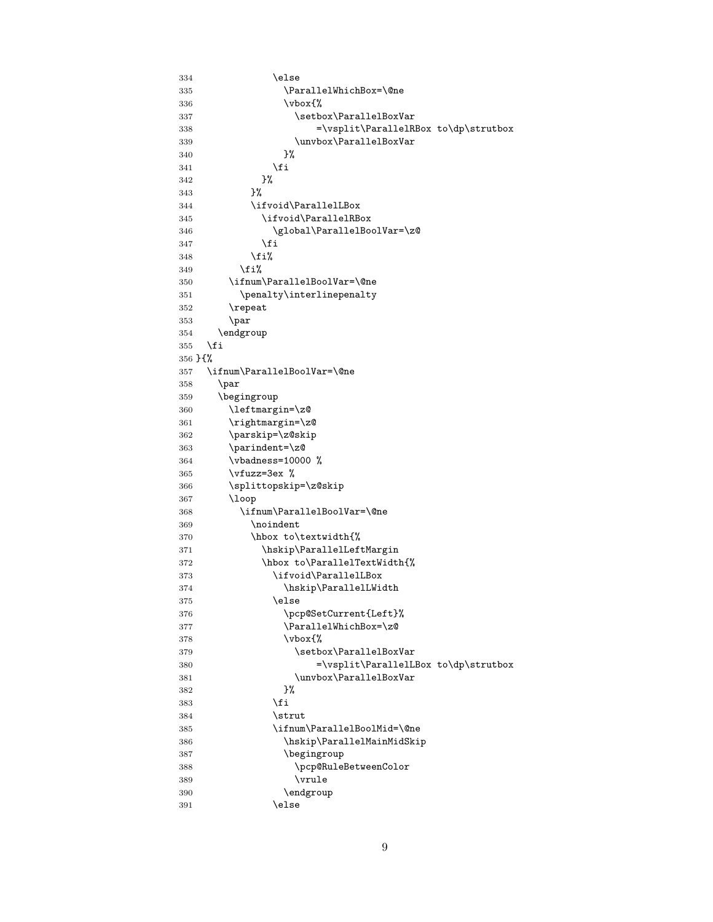```
334 \else
335 \ParallelWhichBox=\@ne
336 \forallybox{%
337 \setbox\ParallelBoxVar
338 =\vsplit\ParallelRBox to\dp\strutbox
339 \unvbox\ParallelBoxVar
340 } }341 \qquad \qquad \text{ifi}342 }%
343 }%
344 \ifvoid\ParallelLBox
345 \ifvoid\ParallelRBox
346 \global\ParallelBoolVar=\z@
347 \fi
348 \fi%
349 \fi%
350 \ifnum\ParallelBoolVar=\@ne
351 \penalty\interlinepenalty
352 \repeat
353 \par
354 \endgroup
355 \fi
356 }{%
357 \ifnum\ParallelBoolVar=\@ne
358 \par
359 \begingroup
360 \leftmargin=\z@
361 \rightmargin=\z@
362 \parskip=\z@skip
363 \parindent=\z@
364 \vbadness=10000 %
365 \forallvfuzz=3ex %
366 \splittopskip=\z@skip
367 \loop
368 \ifnum\ParallelBoolVar=\@ne
369 \noindent
370 \hbox to\textwidth{%
371 \hskip\ParallelLeftMargin
372 \hbox to\ParallelTextWidth{%
373 \ifvoid\ParallelLBox
374 \hskip\ParallelLWidth
375 \else
376 \pcp@SetCurrent{Left}%
377 \ParallelWhichBox=\z@
378 \forall \text{p} \in \mathbb{Z}379 \setbox\ParallelBoxVar
380 =\vsplit\ParallelLBox to\dp\strutbox
381 \unvbox\ParallelBoxVar
382 } }383 \fi
384 \setminus strut
385 \ifnum\ParallelBoolMid=\@ne
386 \hskip\ParallelMainMidSkip
387 \begingroup
388 \pcp@RuleBetweenColor
389 \vrule
390 \endgroup
391 \else
```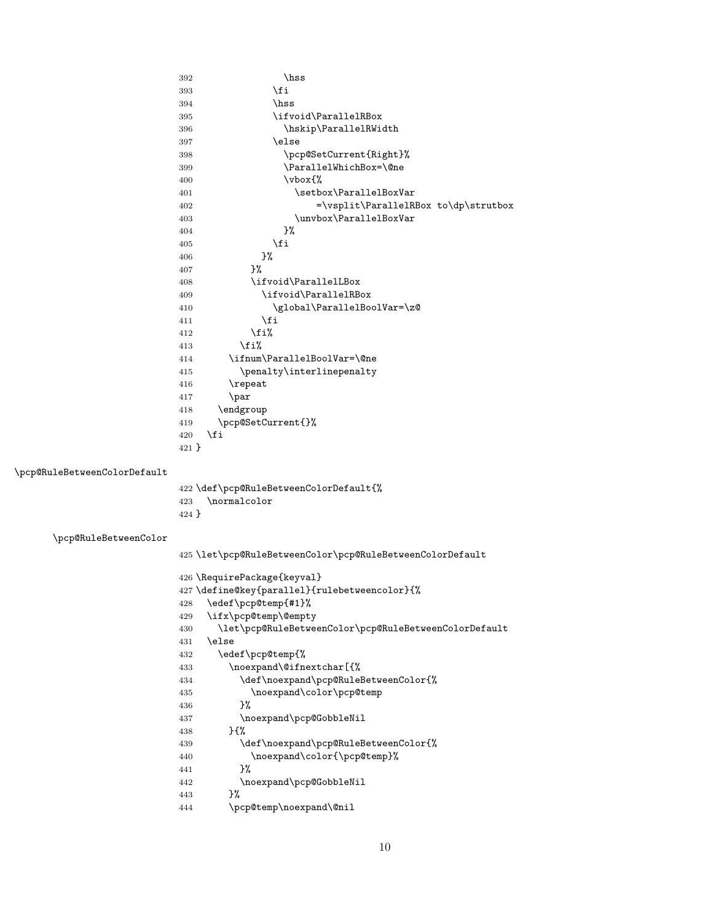```
392 \hbox{hss}393 \qquad \qquad \text{if }394 \hbox{hss}395 \ifvoid\ParallelRBox
                         396 \hskip\ParallelRWidth
                         397 \else
                         398 \pcp@SetCurrent{Right}%
                         399 \ParallelWhichBox=\@ne
                         400 \quad \text{Vbox}\{\%}401 \setbox\ParallelBoxVar
                         402 =\vsplit\ParallelRBox to\dp\strutbox
                         403 \unvbox\ParallelBoxVar
                         404 }%
                         405 \fi
                         406 }%
                         407 }%
                         408 \ifvoid\ParallelLBox
                         409 \ifvoid\ParallelRBox
                         410 \global\ParallelBoolVar=\z@
                         411 \overline{\phantom{a}} \overline{\phantom{a}}412 \overline{\phantom{a}} 112413 \{f_i\}414 \ifnum\ParallelBoolVar=\@ne
                         415 \penalty\interlinepenalty
                         416 \repeat
                         417 \par
                         418 \endgroup
                         419 \pcp@SetCurrent{}%
                         420 \overline{f}421 }
\pcp@RuleBetweenColorDefault
                         422 \def\pcp@RuleBetweenColorDefault{%
                         423 \normalcolor
                         424 }
     \pcp@RuleBetweenColor
                         425 \let\pcp@RuleBetweenColor\pcp@RuleBetweenColorDefault
                         426 \RequirePackage{keyval}
                         427 \define@key{parallel}{rulebetweencolor}{%
                         428 \edef\pcp@temp{#1}%
                         429 \ifx\pcp@temp\@empty
                         430 \let\pcp@RuleBetweenColor\pcp@RuleBetweenColorDefault
                         431 \else
                         432 \edef\pcp@temp{%
                         433 \noexpand\@ifnextchar[{%
                         434 \def\noexpand\pcp@RuleBetweenColor{%
                         435 \noexpand\color\pcp@temp
                         436 }%
                         437 \noexpand\pcp@GobbleNil
                         438 }{%
                         439 \def\noexpand\pcp@RuleBetweenColor{%
                         440 \noexpand\color{\pcp@temp}%<br>441 }%
                         441
                         442 \noexpand\pcp@GobbleNil
                         443 }%
                         444 \pcp@temp\noexpand\@nil
```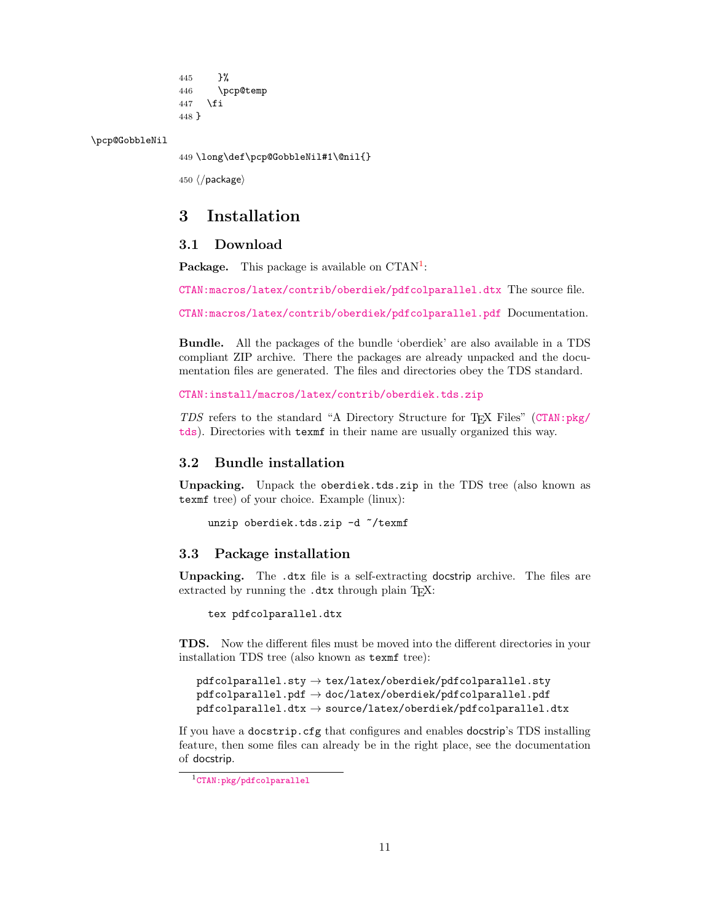<span id="page-10-7"></span>445 }% 446 \pcp@temp 447 \fi 448 }

<span id="page-10-6"></span>\pcp@GobbleNil

<span id="page-10-5"></span>449 \long\def\pcp@GobbleNil#1\@nil{}

450 ⟨/package⟩

## <span id="page-10-0"></span>3 Installation

### <span id="page-10-1"></span>3.1 Download

**Package.** This package is available on  $CTAN^1$  $CTAN^1$ :

[CTAN:macros/latex/contrib/oberdiek/pdfcolparallel.dtx](https://ctan.org/tex-archive/macros/latex/contrib/oberdiek/pdfcolparallel.dtx) The source file.

[CTAN:macros/latex/contrib/oberdiek/pdfcolparallel.pdf](https://ctan.org/tex-archive/macros/latex/contrib/oberdiek/pdfcolparallel.pdf) Documentation.

Bundle. All the packages of the bundle 'oberdiek' are also available in a TDS compliant ZIP archive. There the packages are already unpacked and the documentation files are generated. The files and directories obey the TDS standard.

[CTAN:install/macros/latex/contrib/oberdiek.tds.zip](http://mirrors.ctan.org/install/macros/latex/contrib/oberdiek.tds.zip)

TDS refers to the standard "A Directory Structure for TEX Files" ([CTAN:pkg/](http://ctan.org/pkg/tds) [tds](http://ctan.org/pkg/tds)). Directories with texmf in their name are usually organized this way.

### <span id="page-10-2"></span>3.2 Bundle installation

Unpacking. Unpack the oberdiek.tds.zip in the TDS tree (also known as texmf tree) of your choice. Example (linux):

unzip oberdiek.tds.zip -d "/texmf

### <span id="page-10-3"></span>3.3 Package installation

Unpacking. The .dtx file is a self-extracting docstrip archive. The files are extracted by running the  $.$ dtx through plain T $FX$ :

tex pdfcolparallel.dtx

TDS. Now the different files must be moved into the different directories in your installation TDS tree (also known as texmf tree):

```
pdfcolparallel.sty \rightarrow tex/latex/oberdiek/pdfcolparallel.stypdfcolparallel.pdf \rightarrow doc/lates/oberdiek/pdfcolparallel.pdfpdfcolparallel.dat \rightarrow source/lates/oberdiek/pdfcolparallel.dat
```
If you have a docstrip.cfg that configures and enables docstrip's TDS installing feature, then some files can already be in the right place, see the documentation of docstrip.

<span id="page-10-4"></span><sup>1</sup>[CTAN:pkg/pdfcolparallel](http://ctan.org/pkg/pdfcolparallel)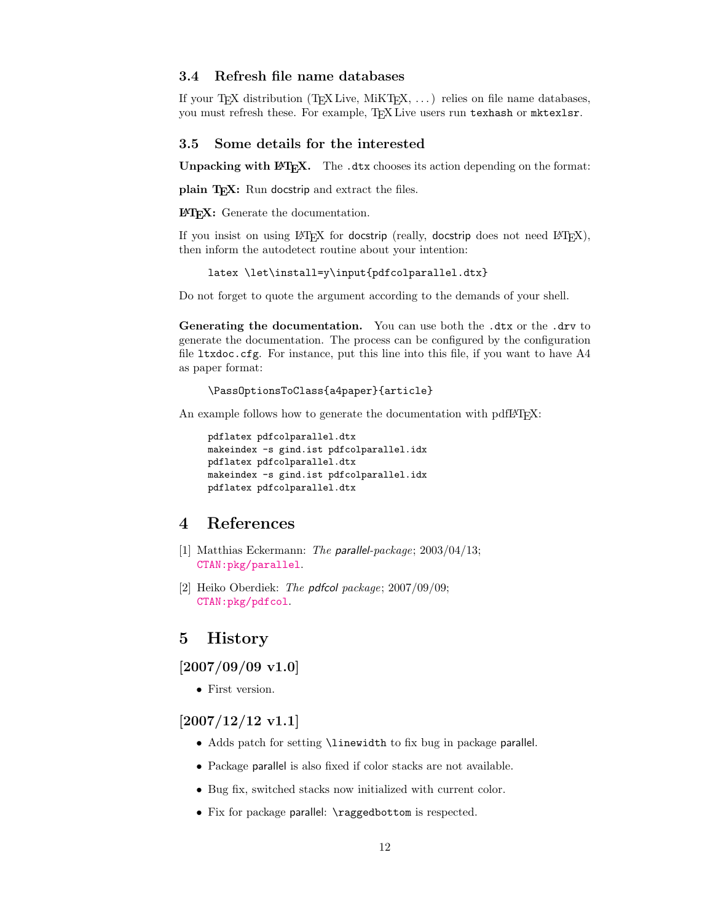### <span id="page-11-0"></span>3.4 Refresh file name databases

If your TEX distribution (TEX Live, MiKTEX, ...) relies on file name databases, you must refresh these. For example, TEX Live users run texhash or mktexlsr.

### <span id="page-11-1"></span>3.5 Some details for the interested

**Unpacking with LATEX.** The  $\cdot$  dtx chooses its action depending on the format:

plain T<sub>E</sub>X: Run docstrip and extract the files.

LATEX: Generate the documentation.

If you insist on using  $L^2T_FX$  for docstrip (really, docstrip does not need  $L^2T_FX$ ), then inform the autodetect routine about your intention:

latex \let\install=y\input{pdfcolparallel.dtx}

Do not forget to quote the argument according to the demands of your shell.

Generating the documentation. You can use both the .dtx or the .drv to generate the documentation. The process can be configured by the configuration file ltxdoc.cfg. For instance, put this line into this file, if you want to have A4 as paper format:

\PassOptionsToClass{a4paper}{article}

An example follows how to generate the documentation with pdfI $\Delta T$ <sub>F</sub>X:

```
pdflatex pdfcolparallel.dtx
makeindex -s gind.ist pdfcolparallel.idx
pdflatex pdfcolparallel.dtx
makeindex -s gind.ist pdfcolparallel.idx
pdflatex pdfcolparallel.dtx
```
### <span id="page-11-2"></span>4 References

- <span id="page-11-6"></span>[1] Matthias Eckermann: The parallel-package; 2003/04/13; [CTAN:pkg/parallel](http://ctan.org/pkg/parallel).
- [2] Heiko Oberdiek: The pdfcol package; 2007/09/09; [CTAN:pkg/pdfcol](http://ctan.org/pkg/pdfcol).

### <span id="page-11-3"></span>5 History

### <span id="page-11-4"></span> $[2007/09/09 \text{ v}1.0]$

• First version.

<span id="page-11-5"></span> $[2007/12/12 \text{ v}1.1]$ 

- Adds patch for setting \linewidth to fix bug in package parallel.
- Package parallel is also fixed if color stacks are not available.
- Bug fix, switched stacks now initialized with current color.
- Fix for package parallel: \raggedbottom is respected.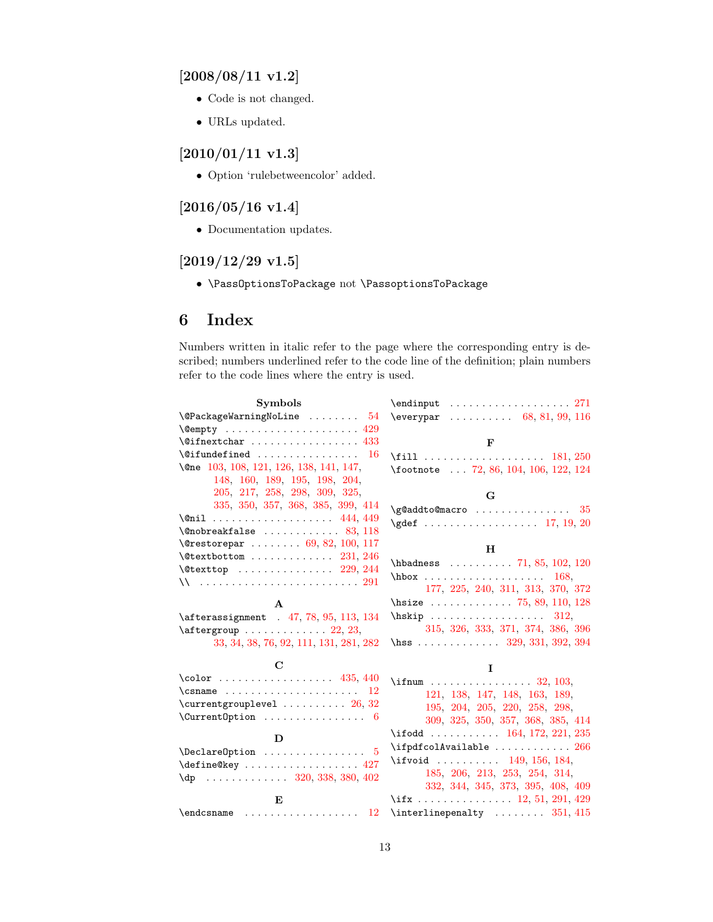# <span id="page-12-0"></span>[2008/08/11 v1.2]

- Code is not changed.
- URLs updated.

### <span id="page-12-1"></span>[2010/01/11 v1.3]

• Option 'rulebetweencolor' added.

# <span id="page-12-2"></span> $[2016/05/16 \text{ v}1.4]$

• Documentation updates.

# <span id="page-12-3"></span> $[2019/12/29\text{ v}1.5]$

• \PassOptionsToPackage not \PassoptionsToPackage

# <span id="page-12-4"></span>6 Index

Numbers written in italic refer to the page where the corresponding entry is described; numbers underlined refer to the code line of the definition; plain numbers refer to the code lines where the entry is used.

| <b>Symbols</b>                                        | $\end{$                                                           |
|-------------------------------------------------------|-------------------------------------------------------------------|
| $\\$ {QPackageWarning \\ NoLine   54                  | $\text{Veverypar}$ 68, 81, 99, 116                                |
| $\emptyset$ empty  429                                |                                                                   |
| $\sqrt{q}$ ifnextchar  433                            | F                                                                 |
| $\setminus$ @ifundefined  16                          | \fill  181, 250                                                   |
| \@ne 103, 108, 121, 126, 138, 141, 147,               | \footnote  72, 86, 104, 106, 122, 124                             |
| 148, 160, 189, 195, 198, 204,                         |                                                                   |
| 205, 217, 258, 298, 309, 325,                         | G                                                                 |
| 335, 350, 357, 368, 385, 399, 414                     | $\qquad$ Qaddto@macro $35$                                        |
|                                                       | $\qquad \qquad \qquad$ 17, 19, 20                                 |
|                                                       |                                                                   |
| $\text{Vertex}$ 69, 82, 100, 117                      | н                                                                 |
| $\text{Vector} \dots \dots \dots \dots \ 231, 246$    | $\hbox{\tt hbadness} \ldots \ldots \ldots \quad 71, 85, 102, 120$ |
| $\text{Vector}$ 229, 244                              | $hbox \ldots \ldots \ldots \ldots 168,$                           |
| \\  291                                               | 177, 225, 240, 311, 313, 370, 372                                 |
| A                                                     | \hsize $\ldots \ldots \ldots \ldots$ 75, 89, 110, 128             |
| \afterassignment . 47, 78, 95, 113, 134               | $\hbox{\tt hskip} \dots \dots \dots \dots \ 312,$                 |
| $\after group \dots \dots \dots \dots 22, 23,$        | 315, 326, 333, 371, 374, 386, 396                                 |
| 33, 34, 38, 76, 92, 111, 131, 281, 282                | \hss 329, 331, 392, 394                                           |
|                                                       |                                                                   |
| С                                                     | L                                                                 |
| \color  435, 440                                      | \if num 32, 103,                                                  |
|                                                       | 121, 138, 147, 148, 163, 189,                                     |
| $\text{currentgrouplevel} \dots \dots \dots 26, 32$   | 195, 204, 205, 220, 258, 298,                                     |
|                                                       | 309, 325, 350, 357, 368, 385, 414                                 |
| D                                                     | \ifodd  164, 172, 221, 235                                        |
| $\Delta$ PeclareOption  5                             | \ifpdfcolAvailable $266$                                          |
| $\define@key \ldots \ldots \ldots \ldots 427$         | \ifvoid  149, 156, 184,                                           |
| $\{dp \dots \dots \dots \dots \ 320, 338, 380, 402\}$ | 185, 206, 213, 253, 254, 314,                                     |
|                                                       | 332, 344, 345, 373, 395, 408, 409                                 |
| E                                                     | \if $x \ldots x \ldots x$ 12, 51, 291, 429                        |
| 12                                                    | $\interline$                                                      |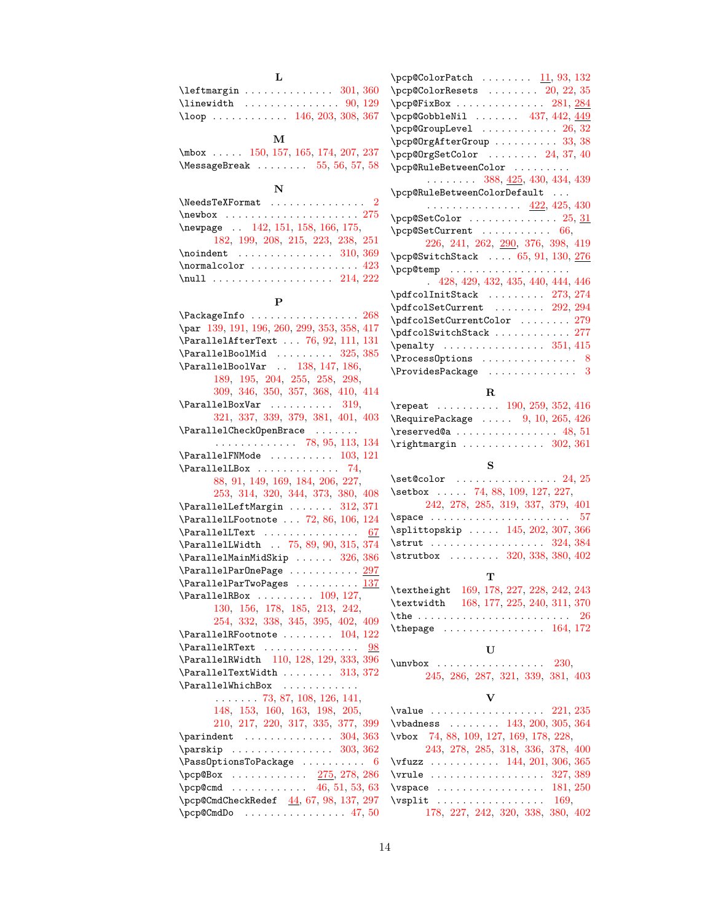| L                                                                                              |                                                                       |
|------------------------------------------------------------------------------------------------|-----------------------------------------------------------------------|
|                                                                                                | $\pepc@Color$ Patch $11, 93, 132$                                     |
| $\left\{\text{targin}\ldots\ldots\ldots\quad 301, 360\right\}$                                 | $\pepc0$ ColorResets $20, 22, 35$                                     |
| $\{\$                                                                                          | $\pep$ erixBox  281, 284                                              |
| $\lambda$ 100p  146, 203, 308, 367                                                             | $\pepc$ GobbleNil  437, 442, $449$                                    |
|                                                                                                | $\penew$ $\penew$ $\ldots$ $\ldots$ $\ldots$ $\ldots$ $\frac{26}{32}$ |
| м                                                                                              | \pcp@OrgAfterGroup  33, 38                                            |
| $\text{mbox}$ 150, 157, 165, 174, 207, 237                                                     | $\peph{0rgsetColor   24, 37, 40}$                                     |
| \MessageBreak $\ldots \ldots 55, 56, 57, 58$                                                   | \pcp@RuleBetweenColor                                                 |
|                                                                                                | $\ldots \ldots 388, \frac{425}{12}, 430, 434, 439$                    |
| N                                                                                              | \pcp@RuleBetweenColorDefault                                          |
| \NeedsTeXFormat<br>$\overline{2}$                                                              | . <u>422,</u> 425, 430                                                |
| $\neq$ $275$                                                                                   | $\pepc$ SetColor  25, 31                                              |
| \newpage  142, 151, 158, 166, 175,                                                             |                                                                       |
| 182, 199, 208, 215, 223, 238, 251                                                              | 226, 241, 262, 200, 376, 398, 419                                     |
| $\lambda$ : $\lambda$ 310, 369                                                                 | $\pepsWitchStack$ $65, 91, 130, 276$                                  |
| $\normalfont \texttt{normalcolor} \dots \dots \dots \dots \ 423$                               |                                                                       |
|                                                                                                | 428, 429, 432, 435, 440, 444, 446                                     |
|                                                                                                | $\qquad \qquad \ldots 273, 274$                                       |
| P                                                                                              | \pdfcolSetCurrent  292, 294                                           |
| $\{\text{PackageInfo} \dots \dots \dots \dots \dots \ 268\}$                                   | \pdfcolSetCurrentColor  279                                           |
| \par 139, 191, 196, 260, 299, 353, 358, 417                                                    | \pdfcolSwitchStack  277                                               |
| \ParallelAfterText  76, 92, 111, 131                                                           | $\penalty$ 351, 415                                                   |
| $\text{ParallelBoolMid} \dots \dots \ 325, 385$                                                | $\Process$ Options  8                                                 |
| \ParallelBoolVar  138, 147, 186,                                                               | $\Pr$ ovidesPackage  3                                                |
| 189, 195, 204, 255, 258, 298,                                                                  |                                                                       |
| 309, 346, 350, 357, 368, 410, 414                                                              | R                                                                     |
| $\{ParallelBoxVar \dots \dots \ 319,$                                                          | \repeat  190, 259, 352, 416                                           |
| 321, 337, 339, 379, 381, 401, 403                                                              | $\lambda$ Require Package $\ldots$ 9, 10, 265, 426                    |
| $\{ParallelCheckOpenBrace \dots \dots \dots$<br>$\ldots \ldots \ldots \ldots$ 78, 95, 113, 134 | $\text{reserved@a} \ldots \ldots \ldots \ldots \quad 48, 51$          |
| $\{ParallelFMMode \dots 103, 121$                                                              | $\rightarrow$ 302, 361                                                |
|                                                                                                |                                                                       |
|                                                                                                |                                                                       |
| $\{ParallelBox \dots \dots \dots \ 74,$                                                        | S                                                                     |
| 88, 91, 149, 169, 184, 206, 227,                                                               | $\setminus$ set@color  24, 25                                         |
| 253, 314, 320, 344, 373, 380, 408                                                              | $\setminus$ setbox  74, 88, 109, 127, 227,                            |
| \ParallelLeftMargin  312, 371                                                                  | 242, 278, 285, 319, 337, 379, 401                                     |
| $\text{ParallelFootnote} \dots$ 72, 86, 106, 124                                               |                                                                       |
| $\{ParallelText$<br>67                                                                         | \splittopskip  145, 202, 307, 366<br>$\strut \text{24, 384}$          |
| \ParallelLWidth . 75, 89, 90, 315, 374                                                         | \strutbox  320, 338, 380, 402                                         |
| $\verb+\ParallelMainMidskip + \dots + 326, 386$                                                |                                                                       |
| \ParallelParOnePage  297                                                                       | т                                                                     |
| $\{\texttt{ParallelParTwoPages} \dots \dots \ \frac{137}{137}\}$                               | \textheight 169, 178, 227, 228, 242, 243                              |
| $\text{ParallelRBox} \dots \dots \dots \ 109, 127,$<br>130, 156, 178, 185, 213, 242,           | \textwidth 168, 177, 225, 240, 311, 370                               |
| 254, 332, 338, 345, 395, 402, 409                                                              | -26                                                                   |
| $\{ParallelR Footnote \dots 104, 122$                                                          |                                                                       |
| $\{ParallelRText$<br>98                                                                        |                                                                       |
| \ParallelRWidth 110, 128, 129, 333, 396                                                        | U                                                                     |
| $\{\text{ParallelTextWidth} \dots \dots \quad 313, 372\}$                                      | $\unvbox$ 230,                                                        |
| \ParallelWhichBox<br>$\sim$                                                                    | 245, 286, 287, 321, 339, 381, 403                                     |
| $\ldots \ldots 73, 87, 108, 126, 141,$                                                         | v                                                                     |
| 148, 153, 160, 163, 198, 205,                                                                  | $\{\text{value} \dots \dots \dots \dots \ 221, 235\}$                 |
| 210, 217, 220, 317, 335, 377, 399                                                              | $\forall$ badness  143, 200, 305, 364                                 |
|                                                                                                | \vbox 74, 88, 109, 127, 169, 178, 228,                                |
| $\text{parskip} \ldots \ldots \ldots \quad 303, 362$                                           | 243, 278, 285, 318, 336, 378, 400                                     |
| $\{\text{PassOptionsToPackage} \dots \dots \dots \ 6\}$                                        | \vfuzz  144, 201, 306, 365                                            |
| \pcp@Box  275, 278, 286                                                                        | $\forall$ rule  327, 389                                              |
| \pcp@cmd 46, 51, 53, 63                                                                        | \vspace $\ldots \ldots \ldots \ldots \ldots \quad 181, 250$           |
| \pcp@CmdCheckRedef 44, 67, 98, 137, 297                                                        | $\text{Vsplit}$ 169,<br>178, 227, 242, 320, 338, 380, 402             |

| $\pepc 0$ Color $\texttt{Resets}$ $20, 22, 35$                                                                                                               |
|--------------------------------------------------------------------------------------------------------------------------------------------------------------|
| $\pep$ @FixBox  281, <u>284</u>                                                                                                                              |
| $\epsilon$ \pcp@GobbleNil  437, 442, $\underline{449}$                                                                                                       |
| $\pmb{\text{pcp@GroupLevel}} \quad \ldots \quad \ldots \quad \ldots \quad 26, \, 32$                                                                         |
| $\penewcommand{\mbox}{tpr0}{\text{\rm{def}}\n}$                                                                                                              |
| $\penew{\# 37, 40}$                                                                                                                                          |
| \pcp@RuleBetweenColor                                                                                                                                        |
| $\ldots \ldots \ldots$ 388, 425, 430, 434, 439                                                                                                               |
| \pcp@RuleBetweenColorDefault                                                                                                                                 |
| . <u>422,</u> 425, 430                                                                                                                                       |
| $\penew{\# 25, 31}$                                                                                                                                          |
|                                                                                                                                                              |
| 226, 241, 262, 290, 376, 398, 419                                                                                                                            |
| $\penew{\# 130, 276}$                                                                                                                                        |
| $\penewcommand{\mbox}{tem}{\mbox{op}}\$                                                                                                                      |
| 428, 429, 432, 435, 440, 444, 446                                                                                                                            |
| $\text{\footnotesize\char'4}$ $\text{\footnotesize\char'4}$                                                                                                  |
| $\text{\textbackslash}$ pdf $\text{\textbackslash}$ col $\text{\textbackslash}$ cet $\text{\textbackslash}$ current $\ldots \ldots \ldots \quad 292, \, 294$ |
| $\verb \pdfcolSetCurrentColor     279$                                                                                                                       |
| \pdfcolSwitchStack  277                                                                                                                                      |
| $\penalty$ 351, 415                                                                                                                                          |
| $\Process0$ ptions  8                                                                                                                                        |
| $\verb+\ProvidesPackage + \dots + \dots + 3$                                                                                                                 |
|                                                                                                                                                              |

| $\texttt{\{repeat}\ \dots \dots \ 190, 259, 352, 416}$                                  |  |
|-----------------------------------------------------------------------------------------|--|
| $\lambda$ RequirePackage $9, 10, 265, 426$                                              |  |
| $\texttt{\textbackslash} \texttt{reserved@a} \dots \dots \dots \dots \dots \ 48, \, 51$ |  |
| $\rightarrow$ 302, 361                                                                  |  |

### S

| $\setminus$ set@color  24, 25     |
|-----------------------------------|
| \setbox  74, 88, 109, 127, 227,   |
| 242, 278, 285, 319, 337, 379, 401 |
|                                   |
| \splittopskip  145, 202, 307, 366 |
|                                   |
| \strutbox  320, 338, 380, 402     |

### T

### U

| $\unvbox$ 230, |  |  |                                   |  |
|----------------|--|--|-----------------------------------|--|
|                |  |  | 245, 286, 287, 321, 339, 381, 403 |  |

### V

| $\value$ 221, 235                      |  |
|----------------------------------------|--|
| \vbadness  143, 200, 305, 364          |  |
| \vbox 74, 88, 109, 127, 169, 178, 228, |  |
| 243, 278, 285, 318, 336, 378, 400      |  |
| $\forall$ fuzz  144, 201, 306, 365     |  |
| \vrule  327, 389                       |  |
| $\sqrt{250}$                           |  |
| $\text{Vsplit}$ 169,                   |  |
| 178, 227, 242, 320, 338, 380, 402      |  |
|                                        |  |